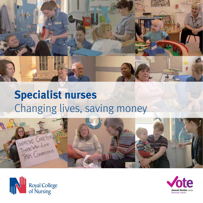

# **Specialist nurses**  Changing lives, saving money





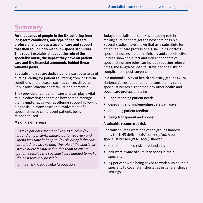### **Summary**

**For thousands of people in the UK suffering from long-term conditions, one type of health care professional provides a level of care and support that they couldn't do without – specialist nurses. This report explains all about the role of the specialist nurse, the impact they have on patient care and the financial arguments behind these valuable posts.**

Specialist nurses are dedicated to a particular area of nursing; caring for patients suffering from long-term conditions and diseases such as cancer, diabetes, Parkinson's, chronic heart failure and dementia.

They provide direct patient care and can play a vital role in educating patients on how best to manage their symptoms, as well as offering support following diagnosis. In many cases the involvement of a specialist nurse can prevent patients being re-hospitalised.

#### **Making a difference**

*"Stroke patients are more likely to survive (by around 25 per cent), make a better recovery and spend less time in hospital (by six days) if they are admitted to a stroke unit. The role of the specialist stroke nurse is vital within this team to ensure patients receive the specialist care needed to make the best recovery possible."*

John Barrick, CEO, Stroke Association

Today's specialist nurse takes a leading role in making sure patients get the best care possible. Several studies have shown that as a substitute for other health care professionals, including doctors, specialist nurses are both clinically and cost effective. Studies show the direct and indirect benefits of specialist nursing roles can include reducing referral times, the length of hospital stays and the risks of complications post-surgery.

In a national survey of health advocacy groups (RCN/ National Voices, 2009) patients consistently rated specialist nurses higher than any other health and social care professionals in:

- understanding patient needs
- designing and implementing care pathways
- obtaining patient feedback
- being transparent and honest.

#### **A valuable resource at risk**

Specialist nurses were one of the groups hardest hit by the NHS deficits crisis of 2005/06. A poll of specialist nurses (RCN, 2008) showed:

- one-in-four faced risk of redundancy
- half were aware of cuts in services in their specialty
- 45 per cent were being asked to work outside their specialty to cover staff shortages in general clinical settings.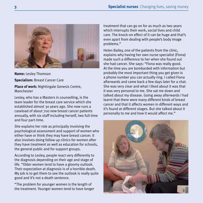

**Name:** Lesley Thomson

**Specialism:** Breast Cancer Care

**Place of work:** Nightingale Genesis Centre, Manchester

Lesley, who has a Masters in counselling, is the team leader for the breast care service which she established almost 30 years ago. She now runs a caseload of about 700 new breast cancer patients annually, with six staff including herself, two full-time and four part-time.

She explains her role as principally involving the psychological assessment and support of women who either have or think they may have breast cancer. It also involves doing follow up clinics for women after they have treatment as well as education for schools, the general public and for support groups.

According to Lesley, people react very differently to the diagnosis depending on their age and stage of life. "Older women tend to have a gloomy outlook. Their expectation at diagnosis is of a horrible death. My job is to get them to see the outlook is really quite good and it's not a death sentence.

"The problem for younger women is the length of the treatment. Younger women tend to have longer treatment that can go on for as much as two years which interrupts their work, social lives and child care. The knock-on effect of it can be huge and that's even apart from dealing with people's body image problems."

Helen Bailey, one of the patients from the clinic, explains why having her own nurse specialist (Fiona) made such a difference to her when she found out she had cancer. She says: "Fiona was really good. At the time you are bombarded with information but probably the most important thing you get given is a phone number you can actually ring. I called Fiona afterwards and came back a few days later for a chat. She was very clear and what I liked about it was that it was very personal to me. She sat me down and talked about my disease. Going away afterwards I had learnt that there were many different kinds of breast cancer and that it affects women in different ways and it's found at different stages. But she talked about it personally to me and how it would affect me."

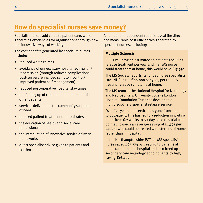### **How do specialist nurses save money?**

Specialist nurses add value to patient care, while generating efficiencies for organisations through new and innovative ways of working.

The cost benefits generated by specialist nurses include:

- reduced waiting times
- avoidance of unnecessary hospital admission/ readmission (through reduced complications post-surgery/enhanced symptom control/ improved patient self-management)
- reduced post-operative hospital stay times
- the freeing up of consultant appointments for other patients
- services delivered in the community/at point of need
- reduced patient treatment drop-out rates
- the education of health and social care professionals
- the introduction of innovative service delivery frameworks
- direct specialist advice given to patients and families.

A number of independent reports reveal the direct and measurable cost efficiencies generated by specialist nurses, including:

#### **Multiple Sclerosis**

A PCT will have an estimated 10 patients requiring relapse treatment per year and if an MS nurse could treat them at home, this would save **£17,970**.

The MS Society reports its funded nurse specialists save NHS trusts **£60,000** per year, per trust by treating relapse symptoms at home.

The MS team at the National Hospital for Neurology and Neurosurgery, University College London Hospital Foundation Trust has developed a multidisciplinary specialist relapse service.

Over five years, the service has gone from inpatient to outpatient. This has led to a reduction in waiting times from 6.2 weeks to 6.1 days and this trial also pointed towards an average saving of **£1,797 per patient** who could be treated with steroids at home rather than in hospital.

In the Northamptonshire PCT, an MS specialist nurse saved **£65,773** by treating 34 patients at home rather than in hospital and also freed up secondary care neurology appointments by half, saving **£16,402**.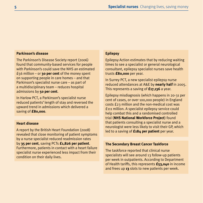#### **Parkinson's disease**

The Parkinson's Disease Society report (2006) found that community-based services for people with Parkinson's could save the NHS an estimated £56 million – or **30 per cent** of the money spent on supporting people in care homes – and that Parkinson's specialist nurse care – as part of a multidisciplinary team – reduces hospital admissions by **50 per cent**.

In Harlow PCT, a Parkinson's specialist nurse reduced patients' length of stay and reversed the upward trend in admissions which delivered a saving of **£80,000**.

#### **Heart disease**

A report by the British Heart Foundation (2008) revealed that close monitoring of patient symptoms by a nurse specialist reduced readmission rates by **35 per cent**, saving PCTs **£1,826 per patient**. Furthermore, patients in contact with a heart failure specialist nurse experienced less impact from their condition on their daily lives.

#### **Epilepsy**

Epilepsy Action estimates that by reducing waiting times to see a specialist or general neurological consultant, epilepsy specialist nurses save health trusts **£80,000** per year.

In Surrey PCT, a new specialist epilepsy nurse reduced attendances at A&E by **nearly half** in 2005. This represents a saving of **£17,136** a year.

Epilepsy misdiagnosis (which happens in 20-31 per cent of cases, or over 100,000 people) in England costs £23 million and the non-medical cost was £111 million. A specialist epilepsy service could help combat this and a randomised controlled trial (**NHS National Workforce Project**) found that patients consulting a specialist nurse and a neurologist were less likely to visit their GP, which led to a saving of **£184 per patient** per year.

#### **The Secondary Breast Cancer Taskforce**

The taskforce reported that clinical nurse specialists will see around 13 follow-up patients per week in outpatients. According to Department of Health tariffs, this represents **£53,040** in income and frees up **13** slots to new patients per week.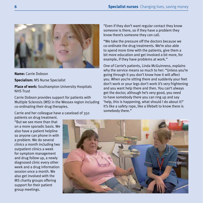

**Name:** Carrie Dobson

**Specialism:** MS Nurse Specialist

**Place of work:** Southampton University Hospitals NHS Trust

Carrie Dobson provides support for patients with Multiple Sclerosis (MS) in the Wessex region including co-ordinating their drug therapies.

Carrie and her colleague have a caseload of 350 patients on drug treatment.

"But we see more than that on a more sporadic basis. We also have a patient helpline so anyone can phone in with a problem. We do several clinics a month including two outpatient clinics a week for symptom management and drug follow up, a newly diagnosed clinic every other week and a drug information session once a month. We also get involved with the MS charity groups offering support for their patient group meetings.

"Even if they don't want regular contact they know someone is there, so if they have a problem they know there's someone they can call.

"We take the pressure off the doctors because we co-ordinate the drug treatments. We're also able to spend more time with the patients, give them a bit more education and get involved a bit more, for example, if they have problems at work."

One of Carrie's patients, Linda McGuinness, explains why the service means so much to her: "Unless you're going through it you don't know how it will affect you. When you're sitting there and suddenly your feet don't work or your legs don't work it's very frightening and you want help there and then. You can't always get the doctor, although he's very good, you need to have somebody there you can ring up and say 'help, this is happening, what should I do about it?' It's like a safety rope, like a lifebelt to know there is somebody there."

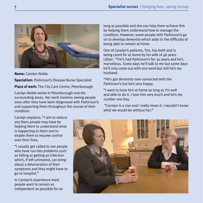

**Name:** Carolyn Noble

**Specialism:** Parkinson's Disease Nurse Specialist

**Place of work:** The City Care Centre, Peterborough

Carolyn Noble works in Peterborough and the surrounding areas. Her work involves seeing people soon after they have been diagnosed with Parkinson's and supporting them throughout the course of their condition.

long as possible and she can help them achieve this by helping them understand how to manage the condition. However, some people with Parkinson's go on to develop dementia which adds to the difficulty of being able to remain at home.

One of Carolyn's patients, Tim, has both and is being cared for at home by his wife of  $46$  years Lillian. "Tim's had Parkinson's for 30 years and he's marvellous. Some days he'll talk to me but some days he'll only come out with one word but still he's my husband.

"He's got dementia now connected with the Parkinson's but he's very happy.

"I want to have him at home as long as I'm well and able to do it. I love him very much and he's my number one boy.

 "Carolyn is a star and I really mean it. I wouldn't know what we would do without her."

Carolyn explains: "I aim to reduce any fears people may have by helping them to understand what is happening to them and to enable them to resume control over their lives.

"I usually get called to see people who have run into problems such as falling or getting an infection which, if left untreated, can bring about a deterioration of their symptoms and they might have to go to hospital."

In Carolyn's experience most people want to remain as independent as possible for as

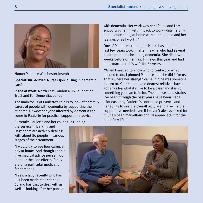

**Name:** Paulette Winchester-Joseph

**Specialism:** Admiral Nurse (specialising in dementia care)

**Place of work:** North East London NHS Foundation Trust and For Dementia, London

The main focus of Paulette's role is to look after family carers of people with dementia by supporting them at home. However anyone affected by dementia can come to Paulette for practical support and advice.

with dementia. Her work was her lifeline and I am supporting her in getting back to work while helping her balance being at home with her husband and her feelings of self worth."

One of Paulette's carers, Jim Hook, has spent the last few years looking after his wife who had several health problems including dementia. She died two weeks before Christmas. Jim is 90 this year and had been married to his wife for 64 years.

"When I needed to know who to contact or what I needed to do, I phoned Paulette and she did it for us. That's where her strength came in. She was someone to turn to. Your nearest and dearest relatives haven't got any idea what it's like to be a carer and it isn't something you can train for. The stresses and strains I've been through the past years have been made a lot easier by Paulette's continued presence and her ability to see the overall picture and give me the support I've needed even if I haven't always asked for it. She's been marvellous and I'll appreciate it for the rest of my life."

Currently, Paulette and her colleague running

the service in Barking and Dagenham are actively dealing with about 80 people in various stages of their treatment.

"I would try to see four carers a day at home. And though I don't give medical advice per se, I do monitor the side effects if they are on a particular medication for dementia.

"I saw a lady recently who has just been made redundant at 60 and has that to deal with as well as looking after her partner

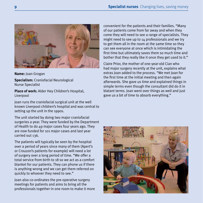

**Name:** Joan Grogan

**Specialism:** Craniofacial Neurological Nurse Specialist

**Place of work:** Alder Hey Children's Hospital, Liverpool

Joan runs the craniofacial surgical unit at the well known Liverpool children's hospital and was central to setting up the unit in the 1990s.

The unit started by doing two major craniofacial surgeries a year. They were funded by the Department of Health to do 49 major cases four years ago. They are now funded for 101 major cases and last year carried out 136.

The patients will typically be seen by the hospital over a period of years since many of them (Apert's or Crouzon's patients for example) will need a lot of surgery over a long period of time. "We offer a total service from birth to 18 so we act as a comfort blanket for our patients. They can phone us if there is anything wrong and we can get them referred on quickly to whoever they need to see."

Joan also co-ordinates the pre-operative surgery meetings for patients and aims to bring all the professionals together in one room to make it more convenient for the patients and their families. "Many of our patients come from far away and when they come they will need to see a range of specialists. They might need to see up to 14 professionals and we try to get them all in the room at the same time so they can see everyone at once which is intimidating the first time but ultimately saves them so much time and bother that they really like it once they get used to it."

Claire Prior, the mother of one-year-old Cian who had major surgery recently at the unit, explains what extras Joan added to the process. "We met Joan for the first time at the initial meeting and then again afterwards. She gave us time and explained things in simple terms even though the consultant did do it in blatant terms. Joan went over things as well and just gave us a bit of time to absorb everything."

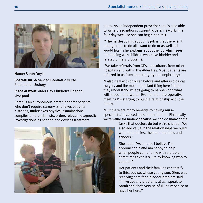

**Name:** Sarah Doyle

**Specialism:** Advanced Paediatric Nurse Practitioner Urology

**Place of work:** Alder Hey Children's Hospital, Liverpool

Sarah is an autonomous practitioner for patients who don't require surgery. She takes patients' histories, undertakes physical examinations, compiles differential lists, orders relevant diagnostic investigations as needed and devises treatment

plans. As an independent prescriber she is also able to write prescriptions. Currently, Sarah is working a four-day week so she can begin her PhD.

 "The hardest thing about my job is that there isn't enough time to do all I want to do or as well as I would like," she explains about the job which sees her dealing with children who have bladder and related urinary problems.

"We take referrals from GPs, consultants from other hospitals and within the Alder Hey. Most patients are referred to us from neurosurgery and nephrology."

"I also deal with children before and after urological surgery and the most important thing here is that they understand what's going to happen and what will happen afterwards. Even at their pre-operative meeting I'm starting to build a relationship with the family.

"But there are many benefits to having nurse specialists/advanced nurse practitioners. Financially we're value for money because we can do many of the

> tasks that doctors do but we're cheaper. We also add value in the relationships we build with the families, their communities and schools."

> She adds: "As a nurse I believe I'm approachable and am happy to help when people come to me with a problem, sometimes even it's just by knowing who to contact."

Her patients and their families can testify to this. Louise, whose young son, Glen, was receiving care for a bladder problem said: "If I've got any problems at all I speak to Sarah and she's very helpful. It's very nice to have her here."

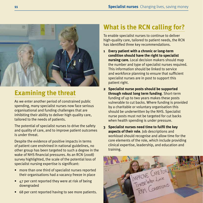

## **Examining the threat**

As we enter another period of constrained public spending, many specialist nurses now face serious organisational and funding challenges that are inhibiting their ability to deliver high quality care, tailored to the needs of patients.

The potential of specialist nurses to drive the safety and quality of care, and to improve patient outcomes is under threat.

Despite the evidence of positive impacts in terms of patient care enshrined in national guidelines, no other group has been targeted to such a degree in the wake of NHS financial pressures. As an RCN (2008) survey highlighted, the scale of the potential loss of specialist nursing expertise is significant:

- more than one third of specialist nurses reported their organisations had a vacancy freeze in place
- 47 per cent reported they were at risk of being downgraded
- 68 per cent reported having to see more patients.

### **What is the RCN calling for?**

To enable specialist nurses to continue to deliver high-quality care, tailored to patient needs, the RCN has identified three key recommendations.

- **1 Every patient with a chronic or long-term condition should have the right to specialist nursing care.** Local decision makers should map the number and type of specialist nurses required. This information should be linked to service and workforce planning to ensure that sufficient specialist nurses are in post to support this patient right.
- **2 Specialist nurse posts should be supported through robust long term funding**. Short-term funding of up to two years makes these posts vulnerable to cut backs. Where funding is provided by a charitable or voluntary organisation this should be underwritten by the NHS. Specialist nurse posts must not be targeted for cut backs when health spending is under pressure.
- **3 Specialist nurses need time to fulfil the key aspects of their role**. Job descriptions and workload should recognise and allow time for the core elements of the role, which include providing clinical expertise, leadership, and education and training.